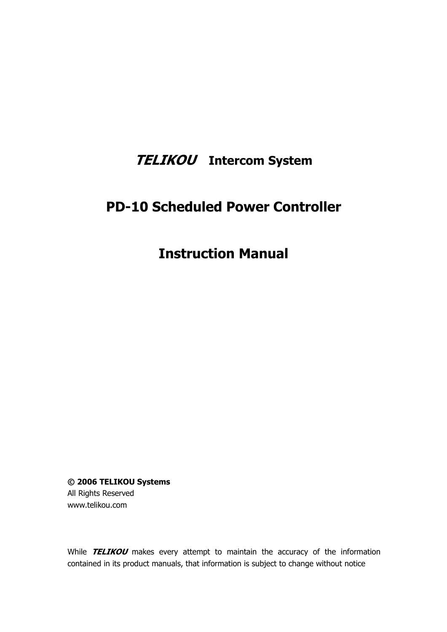# **TELIKOU Intercom System**

# **PD-10 Scheduled Power Controller**

# **Instruction Manual**

**© 2006 TELIKOU Systems** All Rights Reserved www.telikou.com

While **TELIKOU** makes every attempt to maintain the accuracy of the information contained in its product manuals, that information is subject to change without notice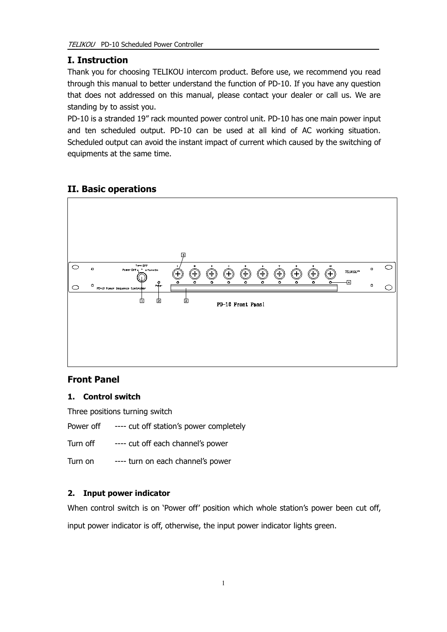## **I. Instruction**

Thank you for choosing TELIKOU intercom product. Before use, we recommend you read through this manual to better understand the function of PD-10. If you have any question that does not addressed on this manual, please contact your dealer or call us. We are standing by to assist you.

PD-10 is a stranded 19" rack mounted power control unit. PD-10 has one main power input and ten scheduled output. PD-10 can be used at all kind of AC working situation. Scheduled output can avoid the instant impact of current which caused by the switching of equipments at the same time.

## **II. Basic operations**



## **Front Panel**

#### **1. Control switch**

Three positions turning switch

Power off ---- cut off station's power completely

Turn off ---- cut off each channel's power

Turn on ---- turn on each channel's power

## **2. Input power indicator**

When control switch is on 'Power off' position which whole station's power been cut off,

input power indicator is off, otherwise, the input power indicator lights green.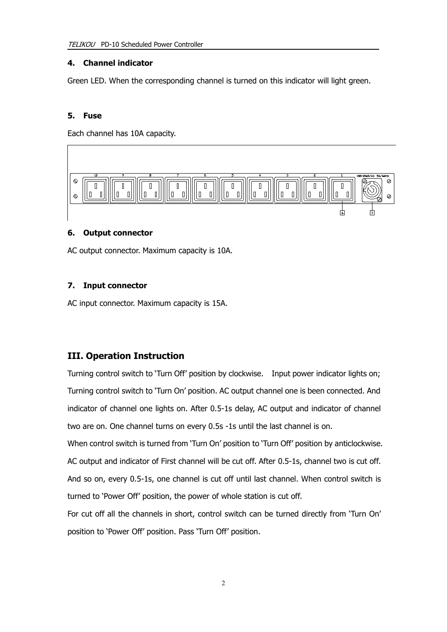#### **4. Channel indicator**

Green LED. When the corresponding channel is turned on this indicator will light green.

#### **5. Fuse**

Each channel has 10A capacity.



#### **6. Output connector**

AC output connector. Maximum capacity is 10A.

#### **7. Input connector**

AC input connector. Maximum capacity is 15A.

## **III. Operation Instruction**

Turning control switch to 'Turn Off' position by clockwise. Input power indicator lights on; Turning control switch to 'Turn On' position. AC output channel one is been connected. And indicator of channel one lights on. After 0.5-1s delay, AC output and indicator of channel two are on. One channel turns on every 0.5s -1s until the last channel is on.

When control switch is turned from 'Turn On' position to 'Turn Off' position by anticlockwise. AC output and indicator of First channel will be cut off. After 0.5-1s, channel two is cut off. And so on, every 0.5-1s, one channel is cut off until last channel. When control switch is turned to 'Power Off' position, the power of whole station is cut off.

For cut off all the channels in short, control switch can be turned directly from 'Turn On' position to 'Power Off' position. Pass 'Turn Off' position.